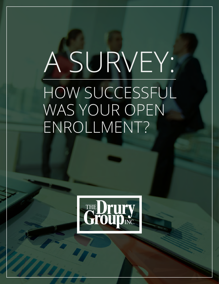# A SURVEY: HOW SUCCESSFUL WAS YOUR OPEN ENROLLMENT?

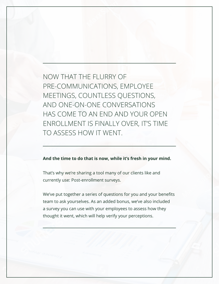NOW THAT THE FLURRY OF PRE-COMMUNICATIONS, EMPLOYEE MEETINGS, COUNTLESS QUESTIONS, AND ONE-ON-ONE CONVERSATIONS HAS COME TO AN END AND YOUR OPEN ENROLLMENT IS FINALLY OVER, IT'S TIME TO ASSESS HOW IT WENT.

#### **And the time to do that is now, while it's fresh in your mind.**

That's why we're sharing a tool many of our clients like and currently use: Post-enrollment surveys.

We've put together a series of questions for you and your benefits team to ask yourselves. As an added bonus, we've also included a survey you can use with your employees to assess how they thought it went, which will help verify your perceptions.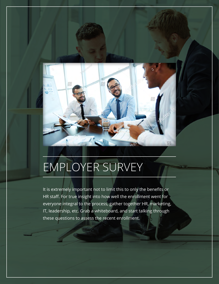

# EMPLOYER SURVEY

It is extremely important not to limit this to only the benefits or HR staff. For true insight into how well the enrollment went for everyone integral to the process, gather together HR, marketing, IT, leadership, etc. Grab a whiteboard, and start talking through these questions to assess the recent enrollment.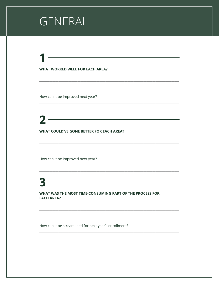## GENERAL

#### **WHAT WORKED WELL FOR EACH AREA?**

How can it be improved next year?

### $\begin{array}{c} \mathbf{2} \end{array}$

#### **WHAT COULD'VE GONE BETTER FOR EACH AREA?**

How can it be improved next year?

#### WHAT WAS THE MOST TIME-CONSUMING PART OF THE PROCESS FOR **EACH AREA?**

 $\mathbf{Z}$ 

How can it be streamlined for next year's enrollment?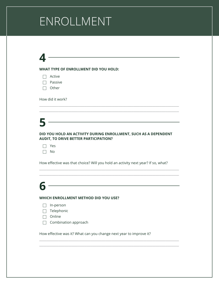# ENROLLMENT

### **4**

#### **WHAT TYPE OF ENROLLMENT DID YOU HOLD:**

| Active |
|--------|
|        |

- $\Box$  Passive
- $\Box$  Other

How did it work?

### **5**

#### **DID YOU HOLD AN ACTIVITY DURING ENROLLMENT, SUCH AS A DEPENDENT AUDIT, TO DRIVE BETTER PARTICIPATION?**

**\_\_\_\_\_\_\_\_\_\_\_\_\_\_\_\_\_\_\_\_\_\_\_\_\_\_\_\_\_\_\_\_\_\_\_\_\_\_\_\_\_\_\_\_\_\_\_\_\_\_\_\_\_\_\_\_\_\_\_\_\_\_\_\_\_\_\_\_\_\_\_\_\_\_\_\_\_\_\_\_\_\_\_\_\_\_\_\_\_\_\_\_\_\_\_ \_\_\_\_\_\_\_\_\_\_\_\_\_\_\_\_\_\_\_\_\_\_\_\_\_\_\_\_\_\_\_\_\_\_\_\_\_\_\_\_\_\_\_\_\_\_\_\_\_\_\_\_\_\_\_\_\_\_\_\_\_\_\_\_\_\_\_\_\_\_\_\_\_\_\_\_\_\_\_\_\_\_\_\_\_\_\_\_\_\_\_\_\_\_\_**

How effective was that choice? Will you hold an activity next year? If so, what?

**\_\_\_\_\_\_\_\_\_\_\_\_\_\_\_\_\_\_\_\_\_\_\_\_\_\_\_\_\_\_\_\_\_\_\_\_\_\_\_\_\_\_\_\_\_\_\_\_\_\_\_\_\_\_\_\_\_\_\_\_\_\_\_\_\_\_\_\_\_\_\_\_\_\_\_\_\_\_\_\_\_\_\_\_\_\_\_\_\_\_\_\_\_\_\_ \_\_\_\_\_\_\_\_\_\_\_\_\_\_\_\_\_\_\_\_\_\_\_\_\_\_\_\_\_\_\_\_\_\_\_\_\_\_\_\_\_\_\_\_\_\_\_\_\_\_\_\_\_\_\_\_\_\_\_\_\_\_\_\_\_\_\_\_\_\_\_\_\_\_\_\_\_\_\_\_\_\_\_\_\_\_\_\_\_\_\_\_\_\_\_**

**\_\_\_\_\_\_\_\_\_\_\_\_\_\_\_\_\_\_\_\_\_\_\_\_\_\_\_\_\_\_\_\_\_\_\_\_\_\_\_\_\_\_\_\_\_\_\_\_\_\_\_\_\_\_\_\_\_\_\_\_\_\_\_\_\_\_\_\_\_\_\_\_\_\_\_\_\_\_\_\_\_\_\_\_\_\_\_\_\_\_\_\_\_\_\_ \_\_\_\_\_\_\_\_\_\_\_\_\_\_\_\_\_\_\_\_\_\_\_\_\_\_\_\_\_\_\_\_\_\_\_\_\_\_\_\_\_\_\_\_\_\_\_\_\_\_\_\_\_\_\_\_\_\_\_\_\_\_\_\_\_\_\_\_\_\_\_\_\_\_\_\_\_\_\_\_\_\_\_\_\_\_\_\_\_\_\_\_\_\_\_**

### **6**

#### **WHICH ENROLLMENT METHOD DID YOU USE?**

- In-person
- $\Box$  Telephonic
- $\Box$  Online
- $\Box$  Combination approach

How effective was it? What can you change next year to improve it?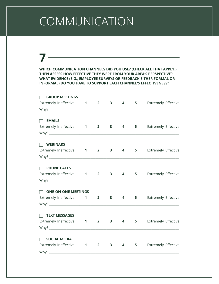# COMMUNICATION

### **7**

**WHICH COMMUNICATION CHANNELS DID YOU USE? (CHECK ALL THAT APPLY.) THEN ASSESS HOW EFFECTIVE THEY WERE FROM YOUR AREA'S PERSPECTIVE? WHAT EVIDENCE (E.G., EMPLOYEE SURVEYS OR FEEDBACK EITHER FORMAL OR INFORMAL) DO YOU HAVE TO SUPPORT EACH CHANNEL'S EFFECTIVENESS?**

| $\Box$<br><b>GROUP MEETINGS</b>                            |                             |              |                |             |                                         |
|------------------------------------------------------------|-----------------------------|--------------|----------------|-------------|-----------------------------------------|
| Extremely Ineffective 1 2                                  |                             | 3            | 4              | $5^{\circ}$ | <b>Extremely Effective</b>              |
|                                                            |                             |              |                |             | <u> 1980 - Johann Barbara, martin d</u> |
| $\Box$<br><b>EMAILS</b>                                    |                             |              |                |             |                                         |
| Extremely Ineffective 1 2 3 4                              |                             |              |                |             | <b>5</b> Extremely Effective            |
|                                                            |                             |              |                |             |                                         |
| $\Box$ WEBINARS                                            |                             |              |                |             |                                         |
| Extremely Ineffective 1 2 3 4                              |                             |              |                |             | 5 Extremely Effective                   |
|                                                            |                             |              |                |             |                                         |
| $\Box$<br><b>PHONE CALLS</b>                               |                             |              |                |             |                                         |
| Extremely Ineffective <b>1</b> 2 3 4 5 Extremely Effective |                             |              |                |             |                                         |
|                                                            |                             |              |                |             |                                         |
| $\Box$ ONE-ON-ONE MEETINGS                                 |                             |              |                |             |                                         |
| Extremely Ineffective 1 2                                  |                             | $\mathbf{3}$ | $\overline{4}$ | $5 -$       | <b>Extremely Effective</b>              |
|                                                            |                             |              |                |             |                                         |
| $\Box$ TEXT MESSAGES                                       |                             |              |                |             |                                         |
| <b>Extremely Ineffective</b>                               | $1 \quad 2 \quad 3 \quad 4$ |              |                |             | <b>5</b> Extremely Effective            |
|                                                            |                             |              |                |             |                                         |
| $\Box$<br><b>SOCIAL MEDIA</b>                              |                             |              |                |             |                                         |
| Extremely Ineffective 1 2                                  |                             | 3            | 4              | 5           | <b>Extremely Effective</b>              |
|                                                            |                             |              |                |             |                                         |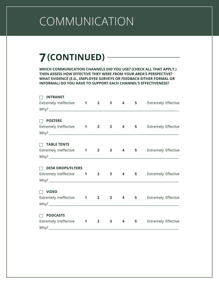# COMMUNICATION

### **7(CONTINUED)**

**WHICH COMMUNICATION CHANNELS DID YOU USE? (CHECK ALL THAT APPLY.) THEN ASSESS HOW EFFECTIVE THEY WERE FROM YOUR AREA'S PERSPECTIVE? WHAT EVIDENCE (E.G., EMPLOYEE SURVEYS OR FEEDBACK EITHER FORMAL OR INFORMAL) DO YOU HAVE TO SUPPORT EACH CHANNEL'S EFFECTIVENESS?**

| <b>Extremely Effective</b><br>Why? |
|------------------------------------|
|                                    |
|                                    |
|                                    |
| 5 Extremely Effective              |
|                                    |
|                                    |
| 5 Extremely Effective              |
|                                    |
|                                    |
| <b>Extremely Effective</b>         |
|                                    |
|                                    |
| <b>Extremely Effective</b>         |
|                                    |
|                                    |
| <b>Extremely Effective</b>         |
|                                    |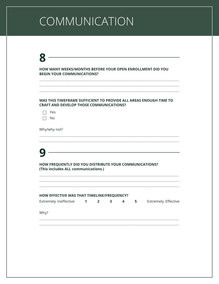# COMMUNICATION

### $\bf 8$

HOW MANY WEEKS/MONTHS BEFORE YOUR OPEN ENROLLMENT DID YOU **BEGIN YOUR COMMUNICATIONS?** 

#### WAS THIS TIMEFRAME SUFFICIENT TO PROVIDE ALL AREAS ENOUGH TIME TO **CRAFT AND DEVELOP THOSE COMMUNICATIONS?**

 $\Box$  No

Why/why not?

### $\bullet$

HOW FREQUENTLY DID YOU DISTRIBUTE YOUR COMMUNICATIONS? (This includes ALL communications.)

| HOW EFFECTIVE WAS THAT TIMELINE/FREQUENCY? |  |  |                     |
|--------------------------------------------|--|--|---------------------|
| Extremely Ineffective 1 2 3 4 5            |  |  | Extremely Effective |
| Why?                                       |  |  |                     |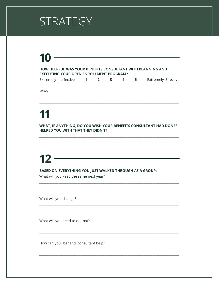# STRATEGY

# 10

#### HOW HELPFUL WAS YOUR BENEFITS CONSULTANT WITH PLANNING AND **EXECUTING YOUR OPEN ENROLLMENT PROGRAM?**

| Extremely Ineffective |  |  |  |  |  | Extremely Effective |
|-----------------------|--|--|--|--|--|---------------------|
|-----------------------|--|--|--|--|--|---------------------|

Why?

# 11

WHAT, IF ANYTHING, DO YOU WISH YOUR BENEFITS CONSULTANT HAD DONE/ HELPED YOU WITH THAT THEY DIDN'T?

<u> 1989 - Johann Barn, mars ann an t-Amhain Aonaich an t-Aonaich an t-Aonaich ann an t-Aonaich ann an t-Aonaich</u>

# $\begin{array}{c} \n \textbf{12} \quad \textbf{---} \quad \textbf{---} \quad \textbf{---} \quad \textbf{---} \quad \textbf{---} \quad \textbf{---} \quad \textbf{---} \quad \textbf{---} \quad \textbf{---} \quad \textbf{---} \quad \textbf{---} \quad \textbf{---} \quad \textbf{---} \quad \textbf{---} \quad \textbf{---} \quad \textbf{---} \quad \textbf{---} \quad \textbf{---} \quad \textbf{---} \quad \textbf{---} \quad \textbf{---} \quad \textbf{---} \quad \textbf{---} \quad \textbf{---} \quad \textbf{---} \quad \text$

BASED ON EVERYTHING YOU JUST WALKED THROUGH AS A GROUP:

What will you keep the same next year?

What will you change?

What will you need to do that?

How can your benefits consultant help?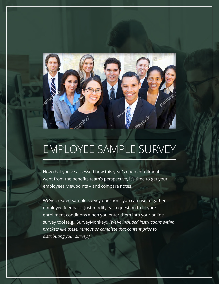

Now that you've assessed how this year's open enrollment went from the benefits team's perspective, it's time to get your employees' viewpoints – and compare notes.

We've created sample survey questions you can use to gather employee feedback. Just modify each question to fit your enrollment conditions when you enter them into your online survey tool (e.g., SurveyMonkey). *[We've included instructions within brackets like these; remove or complete that content prior to distributing your survey.]*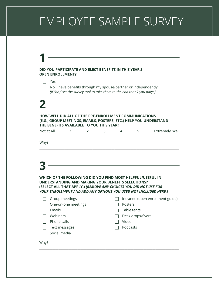| $\Box$ No, I have benefits through my spouse/partner or independently.                                           |                     |              |                                                                        |          |                   |                                                                   |
|------------------------------------------------------------------------------------------------------------------|---------------------|--------------|------------------------------------------------------------------------|----------|-------------------|-------------------------------------------------------------------|
|                                                                                                                  |                     |              |                                                                        |          |                   |                                                                   |
|                                                                                                                  |                     |              | [If "no," set the survey tool to take them to the end thank-you page.] |          |                   |                                                                   |
|                                                                                                                  |                     |              |                                                                        |          |                   |                                                                   |
|                                                                                                                  |                     |              |                                                                        |          |                   |                                                                   |
| <b>HOW WELL DID ALL OF THE PRE-ENROLLMENT COMMUNICATIONS</b>                                                     |                     |              |                                                                        |          |                   |                                                                   |
|                                                                                                                  |                     |              |                                                                        |          |                   | (E.G., GROUP MEETINGS, EMAILS, POSTERS, ETC.) HELP YOU UNDERSTAND |
| THE BENEFITS AVAILABLE TO YOU THIS YEAR?<br>Not at All                                                           | 1                   | $\mathbf{2}$ | 3                                                                      | 4        | 5                 | <b>Extremely Well</b>                                             |
|                                                                                                                  |                     |              |                                                                        |          |                   |                                                                   |
|                                                                                                                  |                     |              |                                                                        |          |                   |                                                                   |
|                                                                                                                  |                     |              |                                                                        |          |                   |                                                                   |
|                                                                                                                  |                     |              |                                                                        |          |                   |                                                                   |
| Why?                                                                                                             |                     |              |                                                                        |          |                   |                                                                   |
|                                                                                                                  |                     |              |                                                                        |          |                   |                                                                   |
|                                                                                                                  |                     |              |                                                                        |          |                   |                                                                   |
|                                                                                                                  |                     |              |                                                                        |          |                   |                                                                   |
|                                                                                                                  |                     |              |                                                                        |          |                   |                                                                   |
|                                                                                                                  |                     |              |                                                                        |          |                   |                                                                   |
|                                                                                                                  |                     |              |                                                                        |          |                   |                                                                   |
| WHICH OF THE FOLLOWING DID YOU FIND MOST HELPFUL/USEFUL IN<br>UNDERSTANDING AND MAKING YOUR BENEFITS SELECTIONS? |                     |              |                                                                        |          |                   |                                                                   |
|                                                                                                                  |                     |              |                                                                        |          |                   |                                                                   |
|                                                                                                                  |                     |              |                                                                        |          |                   | YOUR ENROLLMENT AND ADD ANY OPTIONS YOU USED NOT INCLUDED HERE.]  |
|                                                                                                                  | Group meetings      |              |                                                                        |          |                   | Intranet (open enrollment guide)                                  |
|                                                                                                                  |                     |              |                                                                        | Posters  |                   |                                                                   |
|                                                                                                                  | One-on-one meetings |              |                                                                        |          |                   |                                                                   |
| Emails                                                                                                           |                     |              |                                                                        |          | Table tents       |                                                                   |
| (SELECT ALL THAT APPLY.) [REMOVE ANY CHOICES YOU DID NOT USE FOR<br>Webinars                                     |                     |              |                                                                        |          | Desk drops/flyers |                                                                   |
| Phone calls                                                                                                      |                     |              |                                                                        | Video    |                   |                                                                   |
| Text messages                                                                                                    |                     |              |                                                                        | Podcasts |                   |                                                                   |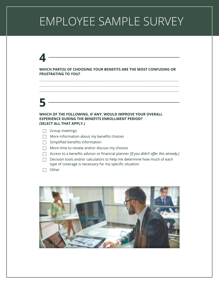### **4**

#### **WHICH PART(S) OF CHOOSING YOUR BENEFITS ARE THE MOST CONFUSING OR FRUSTRATING TO YOU?**

**\_\_\_\_\_\_\_\_\_\_\_\_\_\_\_\_\_\_\_\_\_\_\_\_\_\_\_\_\_\_\_\_\_\_\_\_\_\_\_\_\_\_\_\_\_\_\_\_\_\_\_\_\_\_\_\_\_\_\_\_\_\_\_\_\_\_\_\_\_\_\_\_\_\_\_\_\_\_\_\_\_\_\_\_\_\_\_\_\_\_\_\_\_\_\_ \_\_\_\_\_\_\_\_\_\_\_\_\_\_\_\_\_\_\_\_\_\_\_\_\_\_\_\_\_\_\_\_\_\_\_\_\_\_\_\_\_\_\_\_\_\_\_\_\_\_\_\_\_\_\_\_\_\_\_\_\_\_\_\_\_\_\_\_\_\_\_\_\_\_\_\_\_\_\_\_\_\_\_\_\_\_\_\_\_\_\_\_\_\_\_ \_\_\_\_\_\_\_\_\_\_\_\_\_\_\_\_\_\_\_\_\_\_\_\_\_\_\_\_\_\_\_\_\_\_\_\_\_\_\_\_\_\_\_\_\_\_\_\_\_\_\_\_\_\_\_\_\_\_\_\_\_\_\_\_\_\_\_\_\_\_\_\_\_\_\_\_\_\_\_\_\_\_\_\_\_\_\_\_\_\_\_\_\_\_\_**

### **5**

#### **WHICH OF THE FOLLOWING, IF ANY, WOULD IMPROVE YOUR OVERALL EXPERIENCE DURING THE BENEFITS ENROLLMENT PERIOD? (SELECT ALL THAT APPLY.)**

- $\Box$  Group meetings
- $\Box$  More information about my benefits choices
- $\Box$  Simplified benefits information
- $\Box$  More time to review and/or discuss my choices
- Access to a benefits advisor or financial planner *[If you didn't offer this already.]*
- $\Box$  Decision tools and/or calculators to help me determine how much of each type of coverage is necessary for my specific situation
- $\Box$  Other

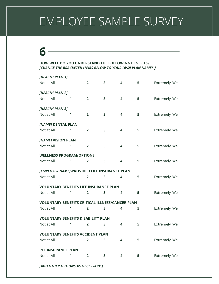### **6**

#### **HOW WELL DO YOU UNDERSTAND THE FOLLOWING BENEFITS?** *[CHANGE THE BRACKETED ITEMS BELOW TO YOUR OWN PLAN NAMES.]*

| [HEALTH PLAN 1]                                        |   |                         |                         |   |    |                       |
|--------------------------------------------------------|---|-------------------------|-------------------------|---|----|-----------------------|
| Not at All                                             | 1 | $\overline{2}$          | 3                       | 4 | 5  | <b>Extremely Well</b> |
| [HEALTH PLAN 2]                                        |   |                         |                         |   |    |                       |
| Not at All                                             | 1 | $\overline{2}$          | 3                       | 4 | 5  | Extremely Well        |
| [HEALTH PLAN 3]                                        |   |                         |                         |   |    |                       |
| Not at All                                             | 1 | $\overline{2}$          | 3                       | 4 | 5  | <b>Extremely Well</b> |
| [NAME] DENTAL PLAN                                     |   |                         |                         |   |    |                       |
| Not at All                                             | 1 | $\overline{2}$          | 3                       | 4 | 5  | <b>Extremely Well</b> |
| [NAME] VISION PLAN                                     |   |                         |                         |   |    |                       |
| Not at All                                             | 1 | $\overline{2}$          | $\overline{\mathbf{3}}$ | 4 | 5  | <b>Extremely Well</b> |
| <b>WELLNESS PROGRAM/OPTIONS</b>                        |   |                         |                         |   |    |                       |
| Not at All                                             | 1 | $\overline{2}$          | 3                       | 4 | 5  | <b>Extremely Well</b> |
| [EMPLOYER NAME]-PROVIDED LIFE INSURANCE PLAN           |   |                         |                         |   |    |                       |
| Not at All                                             | 1 | $\overline{\mathbf{2}}$ | 3                       | 4 | 5  | <b>Extremely Well</b> |
| <b>VOLUNTARY BENEFITS LIFE INSURANCE PLAN</b>          |   |                         |                         |   |    |                       |
| Not at All                                             | 1 | $\overline{2}$          | 3                       | 4 | 5  | <b>Extremely Well</b> |
| <b>VOLUNTARY BENEFITS CRITICAL ILLNESS/CANCER PLAN</b> |   |                         |                         |   |    |                       |
| Not at All                                             | 1 | $\overline{2}$          | 3                       | 4 | 5  | <b>Extremely Well</b> |
| <b>VOLUNTARY BENEFITS DISABILITY PLAN</b>              |   |                         |                         |   |    |                       |
| Not at All                                             | 1 | $\overline{2}$          | 3                       | 4 | 5  | Extremely Well        |
| <b>VOLUNTARY BENEFITS ACCIDENT PLAN</b>                |   |                         |                         |   |    |                       |
| Not at All                                             | 1 | $\overline{2}$          | 3                       | 4 | 5. | <b>Extremely Well</b> |
| <b>PET INSURANCE PLAN</b>                              |   |                         |                         |   |    |                       |
| Not at All                                             | 1 | 2                       | 3                       | 4 | 5  | <b>Extremely Well</b> |
|                                                        |   |                         |                         |   |    |                       |

*[ADD OTHER OPTIONS AS NECESSARY.]*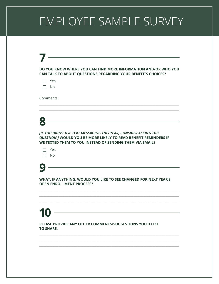| Yes                             | CAN TALK TO ABOUT QUESTIONS REGARDING YOUR BENEFITS CHOICES?                                                                                                                                      |
|---------------------------------|---------------------------------------------------------------------------------------------------------------------------------------------------------------------------------------------------|
| No                              |                                                                                                                                                                                                   |
| Comments:                       |                                                                                                                                                                                                   |
|                                 |                                                                                                                                                                                                   |
|                                 |                                                                                                                                                                                                   |
|                                 | [IF YOU DIDN'T USE TEXT MESSAGING THIS YEAR, CONSIDER ASKING THIS<br>QUESTION.] WOULD YOU BE MORE LIKELY TO READ BENEFIT REMINDERS IF<br>WE TEXTED THEM TO YOU INSTEAD OF SENDING THEM VIA EMAIL? |
| Yes<br>No                       |                                                                                                                                                                                                   |
|                                 |                                                                                                                                                                                                   |
| <b>OPEN ENROLLMENT PROCESS?</b> | WHAT, IF ANYTHING, WOULD YOU LIKE TO SEE CHANGED FOR NEXT YEAR'S                                                                                                                                  |
|                                 |                                                                                                                                                                                                   |
|                                 |                                                                                                                                                                                                   |
| IU,                             |                                                                                                                                                                                                   |